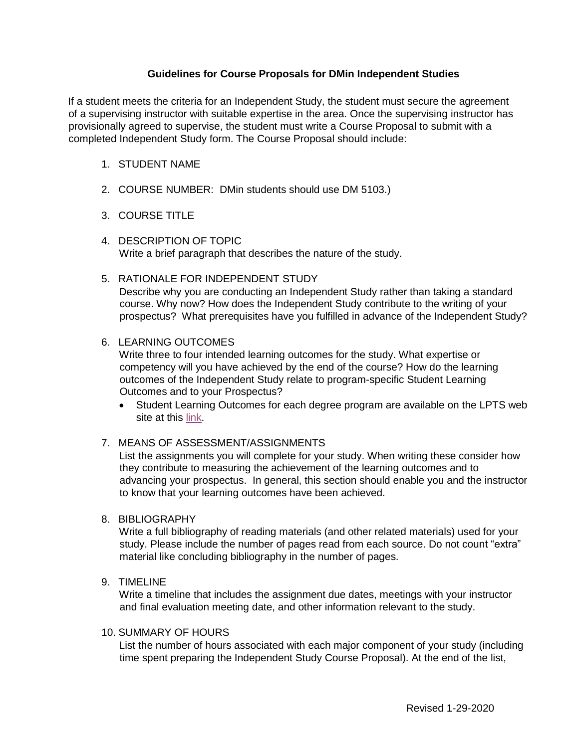## **Guidelines for Course Proposals for DMin Independent Studies**

If a student meets the criteria for an Independent Study, the student must secure the agreement of a supervising instructor with suitable expertise in the area. Once the supervising instructor has provisionally agreed to supervise, the student must write a Course Proposal to submit with a completed Independent Study form. The Course Proposal should include:

## 1. STUDENT NAME

- 2. COURSE NUMBER: DMin students should use DM 5103.)
- 3. COURSE TITLE
- 4. DESCRIPTION OF TOPIC Write a brief paragraph that describes the nature of the study.
- 5. RATIONALE FOR INDEPENDENT STUDY Describe why you are conducting an Independent Study rather than taking a standard course. Why now? How does the Independent Study contribute to the writing of your prospectus? What prerequisites have you fulfilled in advance of the Independent Study?

#### 6. LEARNING OUTCOMES

Write three to four intended learning outcomes for the study. What expertise or competency will you have achieved by the end of the course? How do the learning outcomes of the Independent Study relate to program-specific Student Learning Outcomes and to your Prospectus?

 Student Learning Outcomes for each degree program are available on the LPTS web site at this [link](https://www.lpts.edu/assets/documents/other-resources/dmin-goals-and-slos-(2018).pdf)[.](http://www.lpts.edu/academics/academic-resources/other-resources-for-teaching-and-learning)

#### 7. MEANS OF ASSESSMENT/ASSIGNMENTS

List the assignments you will complete for your study. When writing these consider how they contribute to measuring the achievement of the learning outcomes and to advancing your prospectus. In general, this section should enable you and the instructor to know that your learning outcomes have been achieved.

8. BIBLIOGRAPHY

Write a full bibliography of reading materials (and other related materials) used for your study. Please include the number of pages read from each source. Do not count "extra" material like concluding bibliography in the number of pages.

9. TIMELINE

Write a timeline that includes the assignment due dates, meetings with your instructor and final evaluation meeting date, and other information relevant to the study.

### 10. SUMMARY OF HOURS

List the number of hours associated with each major component of your study (including time spent preparing the Independent Study Course Proposal). At the end of the list,